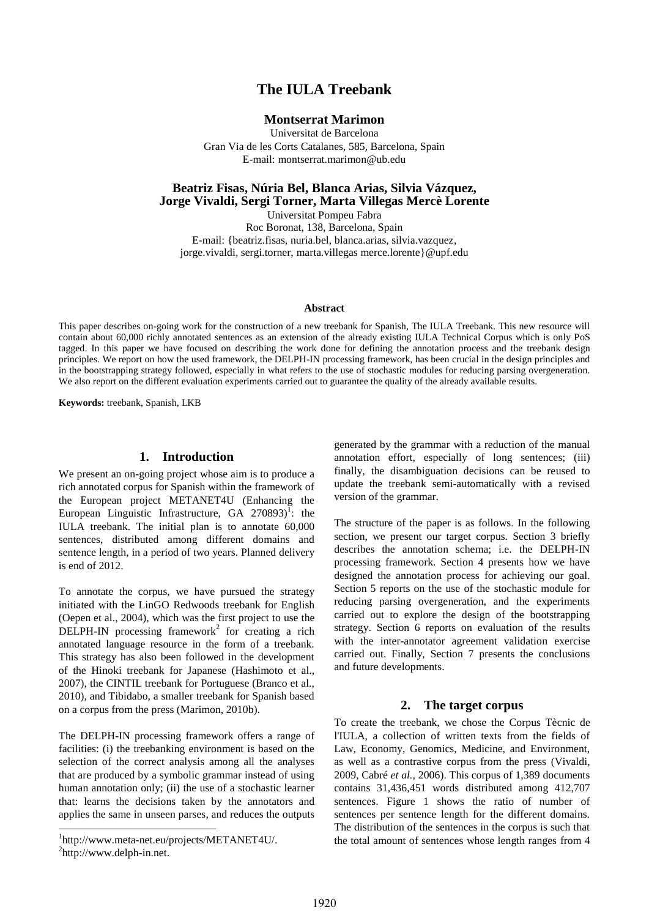# **The IULA Treebank**

## **Montserrat Marimon**

Universitat de Barcelona Gran Via de les Corts Catalanes, 585, Barcelona, Spain E-mail: montserrat.marimon@ub.edu

## **Beatriz Fisas, Núria Bel, Blanca Arias, Silvia Vázquez, Jorge Vivaldi, Sergi Torner, Marta Villegas Mercè Lorente**

Universitat Pompeu Fabra Roc Boronat, 138, Barcelona, Spain E-mail: {beatriz.fisas, nuria.bel, blanca.arias, silvia.vazquez, jorge.vivaldi, sergi.torner, marta.villegas merce.lorente}@upf.edu

#### **Abstract**

This paper describes on-going work for the construction of a new treebank for Spanish, The IULA Treebank. This new resource will contain about 60,000 richly annotated sentences as an extension of the already existing IULA Technical Corpus which is only PoS tagged. In this paper we have focused on describing the work done for defining the annotation process and the treebank design principles. We report on how the used framework, the DELPH-IN processing framework, has been crucial in the design principles and in the bootstrapping strategy followed, especially in what refers to the use of stochastic modules for reducing parsing overgeneration. We also report on the different evaluation experiments carried out to guarantee the quality of the already available results.

**Keywords:** treebank, Spanish, LKB

### **1. Introduction**

We present an on-going project whose aim is to produce a rich annotated corpus for Spanish within the framework of the European project METANET4U (Enhancing the European Linguistic Infrastructure, GA 270893)<sup>1</sup>: the IULA treebank. The initial plan is to annotate 60,000 sentences, distributed among different domains and sentence length, in a period of two years. Planned delivery is end of 2012.

To annotate the corpus, we have pursued the strategy initiated with the LinGO Redwoods treebank for English (Oepen et al., 2004), which was the first project to use the  $DELPH-IN$  processing framework<sup>2</sup> for creating a rich annotated language resource in the form of a treebank. This strategy has also been followed in the development of the Hinoki treebank for Japanese (Hashimoto et al., 2007), the CINTIL treebank for Portuguese (Branco et al., 2010), and Tibidabo, a smaller treebank for Spanish based on a corpus from the press (Marimon, 2010b).

The DELPH-IN processing framework offers a range of facilities: (i) the treebanking environment is based on the selection of the correct analysis among all the analyses that are produced by a symbolic grammar instead of using human annotation only; (ii) the use of a stochastic learner that: learns the decisions taken by the annotators and applies the same in unseen parses, and reduces the outputs

l

generated by the grammar with a reduction of the manual annotation effort, especially of long sentences; (iii) finally, the disambiguation decisions can be reused to update the treebank semi-automatically with a revised version of the grammar.

The structure of the paper is as follows. In the following section, we present our target corpus. Section 3 briefly describes the annotation schema; i.e. the DELPH-IN processing framework. Section 4 presents how we have designed the annotation process for achieving our goal. Section 5 reports on the use of the stochastic module for reducing parsing overgeneration, and the experiments carried out to explore the design of the bootstrapping strategy. Section 6 reports on evaluation of the results with the inter-annotator agreement validation exercise carried out. Finally, Section 7 presents the conclusions and future developments.

#### **2. The target corpus**

To create the treebank, we chose the Corpus Tècnic de l'IULA, a collection of written texts from the fields of Law, Economy, Genomics, Medicine, and Environment, as well as a contrastive corpus from the press (Vivaldi, 2009, Cabré *et al.*, 2006). This corpus of 1,389 documents contains 31,436,451 words distributed among 412,707 sentences. Figure 1 shows the ratio of number of sentences per sentence length for the different domains. The distribution of the sentences in the corpus is such that the total amount of sentences whose length ranges from 4

<sup>1</sup> http://www.meta-net.eu/projects/METANET4U/.  $^{2}$ http://www.delph-in.net.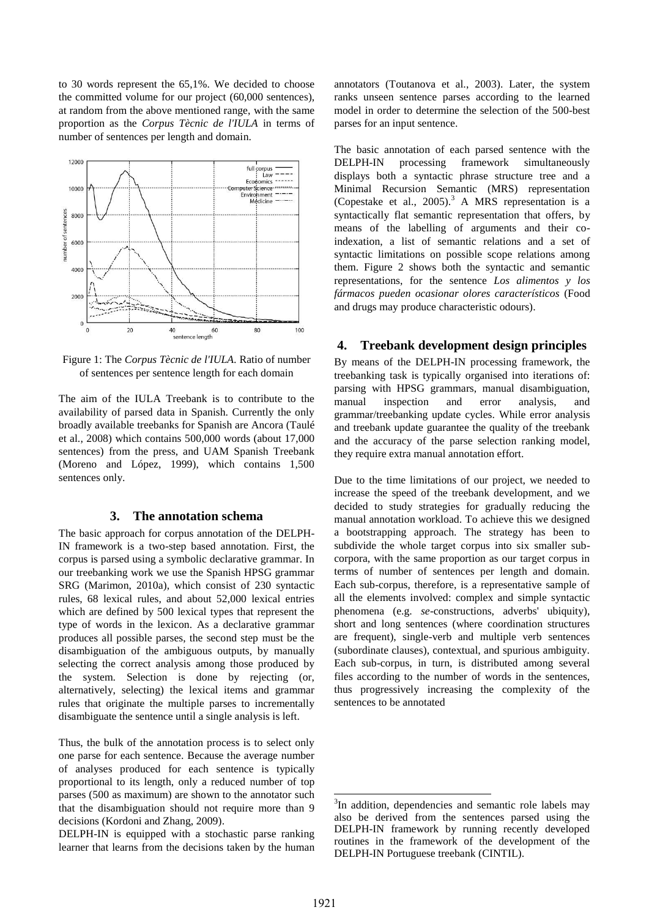to 30 words represent the 65,1%. We decided to choose the committed volume for our project (60,000 sentences), at random from the above mentioned range, with the same proportion as the *Corpus Tècnic de l'IULA* in terms of number of sentences per length and domain.



Figure 1: The *Corpus Tècnic de l'IULA.* Ratio of number of sentences per sentence length for each domain

The aim of the IULA Treebank is to contribute to the availability of parsed data in Spanish. Currently the only broadly available treebanks for Spanish are Ancora (Taulé et al., 2008) which contains 500,000 words (about 17,000 sentences) from the press, and UAM Spanish Treebank (Moreno and López, 1999), which contains 1,500 sentences only.

#### **3. The annotation schema**

The basic approach for corpus annotation of the DELPH-IN framework is a two-step based annotation. First, the corpus is parsed using a symbolic declarative grammar. In our treebanking work we use the Spanish HPSG grammar SRG (Marimon, 2010a), which consist of 230 syntactic rules, 68 lexical rules, and about 52,000 lexical entries which are defined by 500 lexical types that represent the type of words in the lexicon. As a declarative grammar produces all possible parses, the second step must be the disambiguation of the ambiguous outputs, by manually selecting the correct analysis among those produced by the system. Selection is done by rejecting (or, alternatively, selecting) the lexical items and grammar rules that originate the multiple parses to incrementally disambiguate the sentence until a single analysis is left.

Thus, the bulk of the annotation process is to select only one parse for each sentence. Because the average number of analyses produced for each sentence is typically proportional to its length, only a reduced number of top parses (500 as maximum) are shown to the annotator such that the disambiguation should not require more than 9 decisions (Kordoni and Zhang, 2009).

DELPH-IN is equipped with a stochastic parse ranking learner that learns from the decisions taken by the human

annotators (Toutanova et al., 2003). Later, the system ranks unseen sentence parses according to the learned model in order to determine the selection of the 500-best parses for an input sentence.

The basic annotation of each parsed sentence with the DELPH-IN processing framework simultaneously displays both a syntactic phrase structure tree and a Minimal Recursion Semantic (MRS) representation (Copestake et al., 2005).<sup>3</sup> A MRS representation is a syntactically flat semantic representation that offers, by means of the labelling of arguments and their coindexation, a list of semantic relations and a set of syntactic limitations on possible scope relations among them. Figure 2 shows both the syntactic and semantic representations, for the sentence *Los alimentos y los fármacos pueden ocasionar olores característicos* (Food and drugs may produce characteristic odours).

# **4. Treebank development design principles**

By means of the DELPH-IN processing framework, the treebanking task is typically organised into iterations of: parsing with HPSG grammars, manual disambiguation, manual inspection and error analysis, and grammar/treebanking update cycles. While error analysis and treebank update guarantee the quality of the treebank and the accuracy of the parse selection ranking model, they require extra manual annotation effort.

Due to the time limitations of our project, we needed to increase the speed of the treebank development, and we decided to study strategies for gradually reducing the manual annotation workload. To achieve this we designed a bootstrapping approach. The strategy has been to subdivide the whole target corpus into six smaller subcorpora, with the same proportion as our target corpus in terms of number of sentences per length and domain. Each sub-corpus, therefore, is a representative sample of all the elements involved: complex and simple syntactic phenomena (e.g. *se*-constructions, adverbs' ubiquity), short and long sentences (where coordination structures are frequent), single-verb and multiple verb sentences (subordinate clauses), contextual, and spurious ambiguity. Each sub-corpus, in turn, is distributed among several files according to the number of words in the sentences, thus progressively increasing the complexity of the sentences to be annotated

1

<sup>&</sup>lt;sup>3</sup>In addition, dependencies and semantic role labels may also be derived from the sentences parsed using the DELPH-IN framework by running recently developed routines in the framework of the development of the DELPH-IN Portuguese treebank (CINTIL).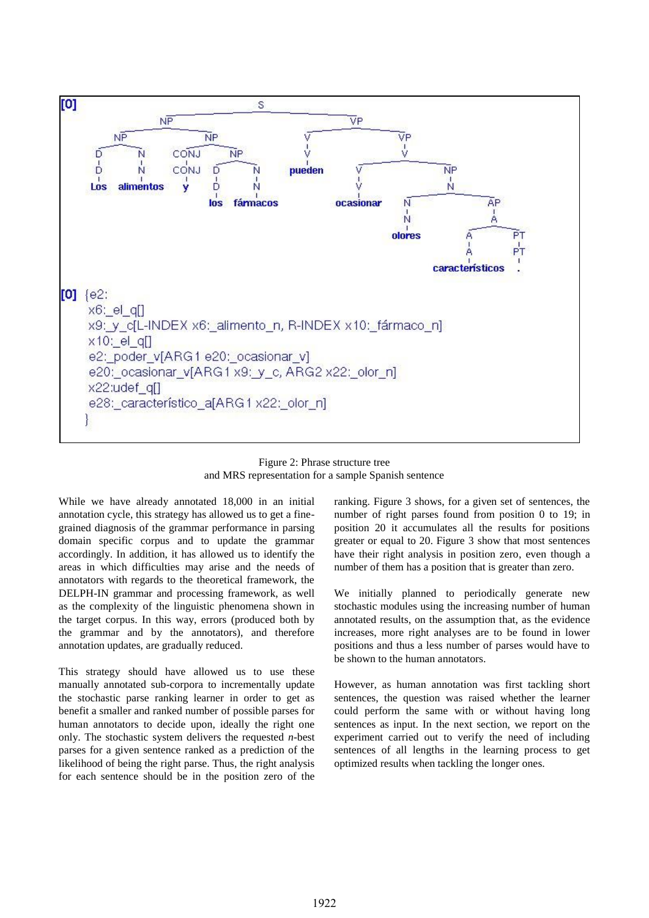

Figure 2: Phrase structure tree and MRS representation for a sample Spanish sentence

While we have already annotated 18,000 in an initial annotation cycle, this strategy has allowed us to get a finegrained diagnosis of the grammar performance in parsing domain specific corpus and to update the grammar accordingly. In addition, it has allowed us to identify the areas in which difficulties may arise and the needs of annotators with regards to the theoretical framework, the DELPH-IN grammar and processing framework, as well as the complexity of the linguistic phenomena shown in the target corpus. In this way, errors (produced both by the grammar and by the annotators), and therefore annotation updates, are gradually reduced.

This strategy should have allowed us to use these manually annotated sub-corpora to incrementally update the stochastic parse ranking learner in order to get as benefit a smaller and ranked number of possible parses for human annotators to decide upon, ideally the right one only. The stochastic system delivers the requested *n*-best parses for a given sentence ranked as a prediction of the likelihood of being the right parse. Thus, the right analysis for each sentence should be in the position zero of the

ranking. Figure 3 shows, for a given set of sentences, the number of right parses found from position 0 to 19; in position 20 it accumulates all the results for positions greater or equal to 20. Figure 3 show that most sentences have their right analysis in position zero, even though a number of them has a position that is greater than zero.

We initially planned to periodically generate new stochastic modules using the increasing number of human annotated results, on the assumption that, as the evidence increases, more right analyses are to be found in lower positions and thus a less number of parses would have to be shown to the human annotators.

However, as human annotation was first tackling short sentences, the question was raised whether the learner could perform the same with or without having long sentences as input. In the next section, we report on the experiment carried out to verify the need of including sentences of all lengths in the learning process to get optimized results when tackling the longer ones.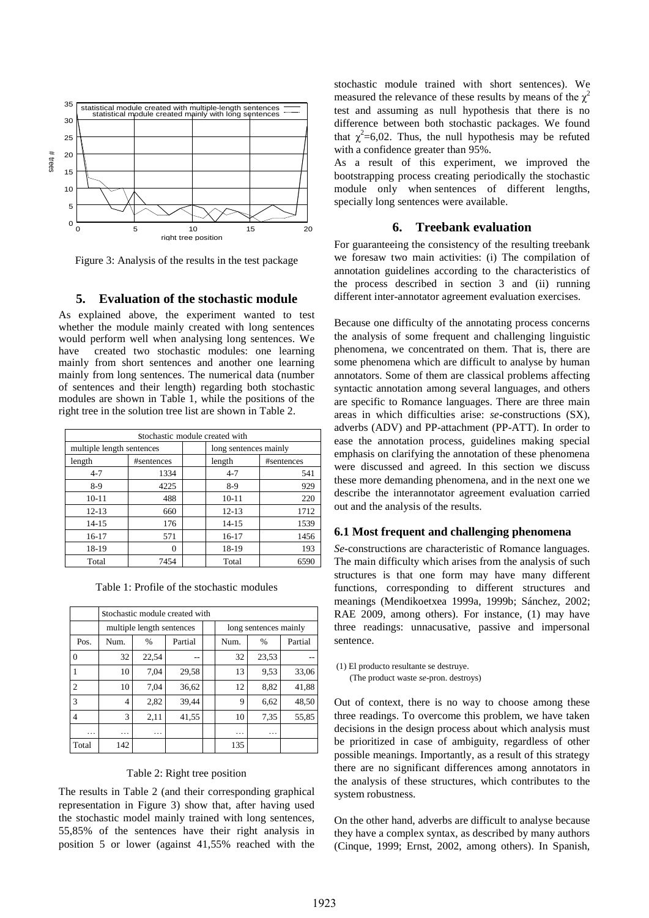

Figure 3: Analysis of the results in the test package

### **5. Evaluation of the stochastic module**

As explained above, the experiment wanted to test whether the module mainly created with long sentences would perform well when analysing long sentences. We have created two stochastic modules: one learning mainly from short sentences and another one learning mainly from long sentences. The numerical data (number of sentences and their length) regarding both stochastic modules are shown in Table 1, while the positions of the right tree in the solution tree list are shown in Table 2.

| Stochastic module created with |            |  |                       |            |  |  |  |  |
|--------------------------------|------------|--|-----------------------|------------|--|--|--|--|
| multiple length sentences      |            |  | long sentences mainly |            |  |  |  |  |
| length                         | #sentences |  | length                | #sentences |  |  |  |  |
| $4 - 7$                        | 1334       |  | $4 - 7$               | 541        |  |  |  |  |
| $8-9$                          | 4225       |  | $8-9$                 | 929        |  |  |  |  |
| $10 - 11$                      | 488        |  | $10 - 11$             | 220        |  |  |  |  |
| $12 - 13$                      | 660        |  | $12 - 13$             | 1712       |  |  |  |  |
| $14 - 15$                      | 176        |  | $14 - 15$             | 1539       |  |  |  |  |
| 16-17                          | 571        |  | 16-17                 | 1456       |  |  |  |  |
| 18-19                          | 0          |  | 18-19                 | 193        |  |  |  |  |
| Total                          | 7454       |  | Total                 | 6590       |  |  |  |  |

Table 1: Profile of the stochastic modules

|                | Stochastic module created with |       |         |  |                       |       |         |  |  |  |
|----------------|--------------------------------|-------|---------|--|-----------------------|-------|---------|--|--|--|
|                | multiple length sentences      |       |         |  | long sentences mainly |       |         |  |  |  |
| Pos.           | Num.                           | $\%$  | Partial |  | Num.                  | $\%$  | Partial |  |  |  |
| $\Omega$       | 32                             | 22,54 | --      |  | 32                    | 23,53 |         |  |  |  |
|                | 10                             | 7,04  | 29,58   |  | 13                    | 9.53  | 33,06   |  |  |  |
| 2              | 10                             | 7,04  | 36,62   |  | 12                    | 8,82  | 41,88   |  |  |  |
| 3              | $\overline{4}$                 | 2,82  | 39,44   |  | 9                     | 6,62  | 48,50   |  |  |  |
| $\overline{4}$ | 3                              | 2,11  | 41,55   |  | 10                    | 7.35  | 55,85   |  |  |  |
| .              | .                              | .     |         |  | .                     | .     |         |  |  |  |
| Total          | 142                            |       |         |  | 135                   |       |         |  |  |  |

#### Table 2: Right tree position

The results in Table 2 (and their corresponding graphical representation in Figure 3) show that, after having used the stochastic model mainly trained with long sentences, 55,85% of the sentences have their right analysis in position 5 or lower (against 41,55% reached with the

stochastic module trained with short sentences). We measured the relevance of these results by means of the  $\gamma^2$ test and assuming as null hypothesis that there is no difference between both stochastic packages. We found that  $\chi^2$ =6,02. Thus, the null hypothesis may be refuted with a confidence greater than 95%.

As a result of this experiment, we improved the bootstrapping process creating periodically the stochastic module only when sentences of different lengths, specially long sentences were available.

## **6. Treebank evaluation**

For guaranteeing the consistency of the resulting treebank we foresaw two main activities: (i) The compilation of annotation guidelines according to the characteristics of the process described in section 3 and (ii) running different inter-annotator agreement evaluation exercises.

Because one difficulty of the annotating process concerns the analysis of some frequent and challenging linguistic phenomena, we concentrated on them. That is, there are some phenomena which are difficult to analyse by human annotators. Some of them are classical problems affecting syntactic annotation among several languages, and others are specific to Romance languages. There are three main areas in which difficulties arise: *se*-constructions (SX), adverbs (ADV) and PP-attachment (PP-ATT). In order to ease the annotation process, guidelines making special emphasis on clarifying the annotation of these phenomena were discussed and agreed. In this section we discuss these more demanding phenomena, and in the next one we describe the interannotator agreement evaluation carried out and the analysis of the results.

### **6.1 Most frequent and challenging phenomena**

*Se*-constructions are characteristic of Romance languages. The main difficulty which arises from the analysis of such structures is that one form may have many different functions, corresponding to different structures and meanings (Mendikoetxea 1999a, 1999b; Sánchez, 2002; RAE 2009, among others). For instance, (1) may have three readings: unnacusative, passive and impersonal sentence.

(1) El producto resultante se destruye. (The product waste *se*-pron. destroys)

Out of context, there is no way to choose among these three readings. To overcome this problem, we have taken decisions in the design process about which analysis must be prioritized in case of ambiguity, regardless of other possible meanings. Importantly, as a result of this strategy there are no significant differences among annotators in the analysis of these structures, which contributes to the system robustness.

On the other hand, adverbs are difficult to analyse because they have a complex syntax, as described by many authors (Cinque, 1999; Ernst, 2002, among others). In Spanish,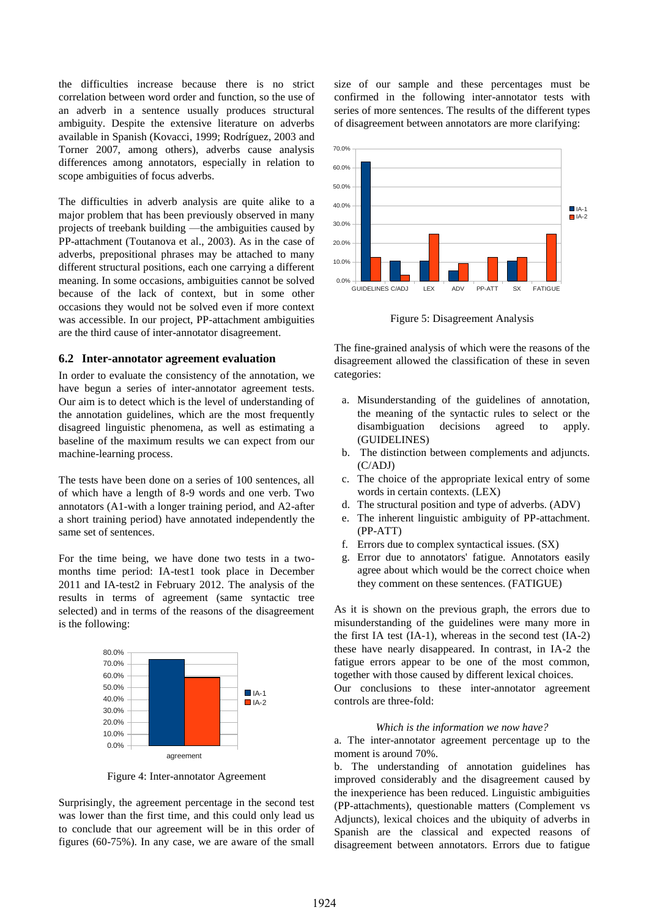the difficulties increase because there is no strict correlation between word order and function, so the use of an adverb in a sentence usually produces structural ambiguity. Despite the extensive literature on adverbs available in Spanish (Kovacci, 1999; Rodríguez, 2003 and Torner 2007, among others), adverbs cause analysis differences among annotators, especially in relation to scope ambiguities of focus adverbs.

The difficulties in adverb analysis are quite alike to a major problem that has been previously observed in many projects of treebank building —the ambiguities caused by PP-attachment (Toutanova et al., 2003). As in the case of adverbs, prepositional phrases may be attached to many different structural positions, each one carrying a different meaning. In some occasions, ambiguities cannot be solved because of the lack of context, but in some other occasions they would not be solved even if more context was accessible. In our project, PP-attachment ambiguities are the third cause of inter-annotator disagreement.

#### **6.2 Inter-annotator agreement evaluation**

In order to evaluate the consistency of the annotation, we have begun a series of inter-annotator agreement tests. Our aim is to detect which is the level of understanding of the annotation guidelines, which are the most frequently disagreed linguistic phenomena, as well as estimating a baseline of the maximum results we can expect from our machine-learning process.

The tests have been done on a series of 100 sentences, all of which have a length of 8-9 words and one verb. Two annotators (A1-with a longer training period, and A2-after a short training period) have annotated independently the same set of sentences.

For the time being, we have done two tests in a twomonths time period: IA-test1 took place in December 2011 and IA-test2 in February 2012. The analysis of the results in terms of agreement (same syntactic tree selected) and in terms of the reasons of the disagreement is the following:



Figure 4: Inter-annotator Agreement

Surprisingly, the agreement percentage in the second test was lower than the first time, and this could only lead us to conclude that our agreement will be in this order of figures (60-75%). In any case, we are aware of the small size of our sample and these percentages must be confirmed in the following inter-annotator tests with series of more sentences. The results of the different types of disagreement between annotators are more clarifying:



Figure 5: Disagreement Analysis

The fine-grained analysis of which were the reasons of the disagreement allowed the classification of these in seven categories:

- a. Misunderstanding of the guidelines of annotation, the meaning of the syntactic rules to select or the disambiguation decisions agreed to apply. (GUIDELINES)
- b. The distinction between complements and adjuncts. (C/ADJ)
- c. The choice of the appropriate lexical entry of some words in certain contexts. (LEX)
- d. The structural position and type of adverbs. (ADV)
- e. The inherent linguistic ambiguity of PP-attachment. (PP-ATT)
- f. Errors due to complex syntactical issues. (SX)
- g. Error due to annotators' fatigue. Annotators easily agree about which would be the correct choice when they comment on these sentences. (FATIGUE)

As it is shown on the previous graph, the errors due to misunderstanding of the guidelines were many more in the first IA test (IA-1), whereas in the second test (IA-2) these have nearly disappeared. In contrast, in IA-2 the fatigue errors appear to be one of the most common, together with those caused by different lexical choices. Our conclusions to these inter-annotator agreement controls are three-fold:

#### *Which is the information we now have?*

a. The inter-annotator agreement percentage up to the moment is around 70%.

b. The understanding of annotation guidelines has improved considerably and the disagreement caused by the inexperience has been reduced. Linguistic ambiguities (PP-attachments), questionable matters (Complement vs Adjuncts), lexical choices and the ubiquity of adverbs in Spanish are the classical and expected reasons of disagreement between annotators. Errors due to fatigue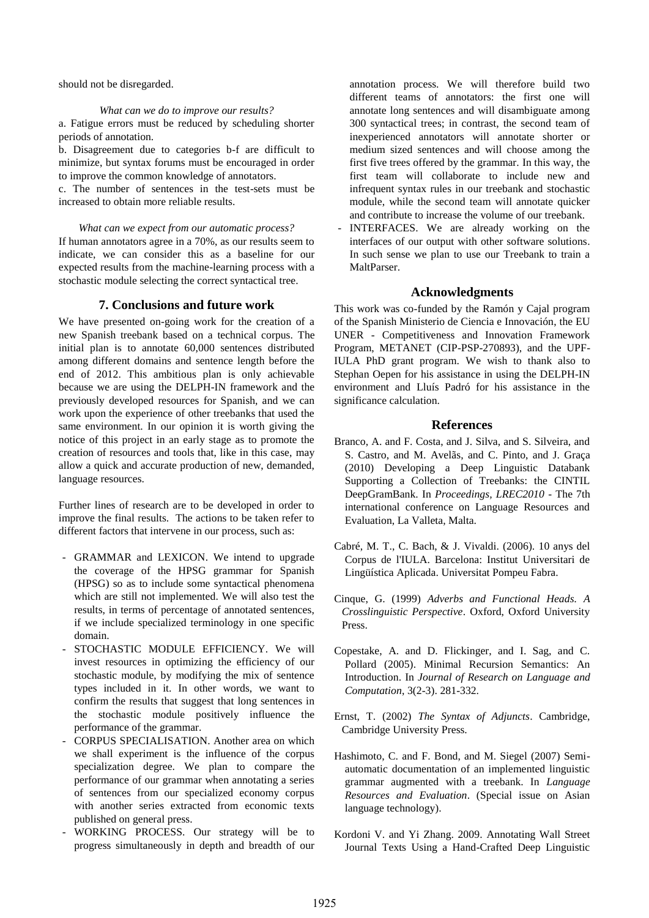should not be disregarded.

#### *What can we do to improve our results?*

a. Fatigue errors must be reduced by scheduling shorter periods of annotation.

b. Disagreement due to categories b-f are difficult to minimize, but syntax forums must be encouraged in order to improve the common knowledge of annotators.

c. The number of sentences in the test-sets must be increased to obtain more reliable results.

#### *What can we expect from our automatic process?*

If human annotators agree in a 70%, as our results seem to indicate, we can consider this as a baseline for our expected results from the machine-learning process with a stochastic module selecting the correct syntactical tree.

## **7. Conclusions and future work**

We have presented on-going work for the creation of a new Spanish treebank based on a technical corpus. The initial plan is to annotate 60,000 sentences distributed among different domains and sentence length before the end of 2012. This ambitious plan is only achievable because we are using the DELPH-IN framework and the previously developed resources for Spanish, and we can work upon the experience of other treebanks that used the same environment. In our opinion it is worth giving the notice of this project in an early stage as to promote the creation of resources and tools that, like in this case, may allow a quick and accurate production of new, demanded, language resources.

Further lines of research are to be developed in order to improve the final results. The actions to be taken refer to different factors that intervene in our process, such as:

- GRAMMAR and LEXICON. We intend to upgrade the coverage of the HPSG grammar for Spanish (HPSG) so as to include some syntactical phenomena which are still not implemented. We will also test the results, in terms of percentage of annotated sentences, if we include specialized terminology in one specific domain.
- STOCHASTIC MODULE EFFICIENCY. We will invest resources in optimizing the efficiency of our stochastic module, by modifying the mix of sentence types included in it. In other words, we want to confirm the results that suggest that long sentences in the stochastic module positively influence the performance of the grammar.
- CORPUS SPECIALISATION. Another area on which we shall experiment is the influence of the corpus specialization degree. We plan to compare the performance of our grammar when annotating a series of sentences from our specialized economy corpus with another series extracted from economic texts published on general press.
- WORKING PROCESS. Our strategy will be to progress simultaneously in depth and breadth of our

annotation process. We will therefore build two different teams of annotators: the first one will annotate long sentences and will disambiguate among 300 syntactical trees; in contrast, the second team of inexperienced annotators will annotate shorter or medium sized sentences and will choose among the first five trees offered by the grammar. In this way, the first team will collaborate to include new and infrequent syntax rules in our treebank and stochastic module, while the second team will annotate quicker and contribute to increase the volume of our treebank.

- INTERFACES. We are already working on the interfaces of our output with other software solutions. In such sense we plan to use our Treebank to train a MaltParser.

### **Acknowledgments**

This work was co-funded by the Ramón y Cajal program of the Spanish Ministerio de Ciencia e Innovación, the EU UNER - Competitiveness and Innovation Framework Program, METANET (CIP-PSP-270893), and the UPF-IULA PhD grant program. We wish to thank also to Stephan Oepen for his assistance in using the DELPH-IN environment and Lluís Padró for his assistance in the significance calculation.

### **References**

- Branco, A. and F. Costa, and J. Silva, and S. Silveira, and S. Castro, and M. Avelãs, and C. Pinto, and J. Graça (2010) Developing a Deep Linguistic Databank Supporting a Collection of Treebanks: the CINTIL DeepGramBank. In *Proceedings, LREC2010* - The 7th international conference on Language Resources and Evaluation, La Valleta, Malta.
- Cabré, M. T., C. Bach, & J. Vivaldi. (2006). 10 anys del Corpus de l'IULA. Barcelona: Institut Universitari de Lingüística Aplicada. Universitat Pompeu Fabra.
- Cinque, G. (1999) *Adverbs and Functional Heads. A Crosslinguistic Perspective*. Oxford, Oxford University Press.
- Copestake, A. and D. Flickinger, and I. Sag, and C. Pollard (2005). Minimal Recursion Semantics: An Introduction. In *Journal of Research on Language and Computation*, 3(2-3). 281-332.
- Ernst, T. (2002) *The Syntax of Adjuncts*. Cambridge, Cambridge University Press.
- Hashimoto, C. and F. Bond, and M. Siegel (2007) Semiautomatic documentation of an implemented linguistic grammar augmented with a treebank. In *Language Resources and Evaluation*. (Special issue on Asian language technology).
- Kordoni V. and Yi Zhang. 2009. Annotating Wall Street Journal Texts Using a Hand-Crafted Deep Linguistic